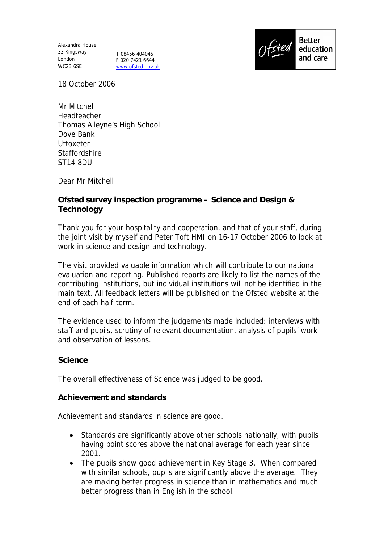Alexandra House 33 Kingsway London T 08456 404045 WC2B 6SE

F 020 7421 6644 www.ofsted.gov.uk



18 October 2006

Mr Mitchell Headteacher Thomas Alleyne's High School Dove Bank **Uttoxeter Staffordshire** ST14 8DU

Dear Mr Mitchell

**Ofsted survey inspection programme – Science and Design & Technology**

Thank you for your hospitality and cooperation, and that of your staff, during the joint visit by myself and Peter Toft HMI on 16-17 October 2006 to look at work in science and design and technology.

The visit provided valuable information which will contribute to our national evaluation and reporting. Published reports are likely to list the names of the contributing institutions, but individual institutions will not be identified in the main text. All feedback letters will be published on the Ofsted website at the end of each half-term.

The evidence used to inform the judgements made included: interviews with staff and pupils, scrutiny of relevant documentation, analysis of pupils' work and observation of lessons.

**Science**

The overall effectiveness of Science was judged to be good.

**Achievement and standards**

Achievement and standards in science are good.

- Standards are significantly above other schools nationally, with pupils having point scores above the national average for each year since 2001.
- The pupils show good achievement in Key Stage 3. When compared with similar schools, pupils are significantly above the average. They are making better progress in science than in mathematics and much better progress than in English in the school.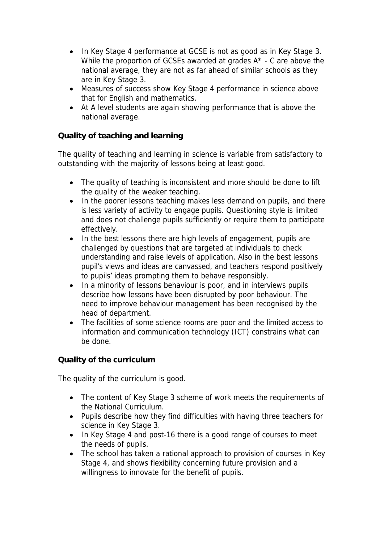- In Key Stage 4 performance at GCSE is not as good as in Key Stage 3. While the proportion of GCSEs awarded at grades A\* - C are above the national average, they are not as far ahead of similar schools as they are in Key Stage 3.
- Measures of success show Key Stage 4 performance in science above that for English and mathematics.
- At A level students are again showing performance that is above the national average.

**Quality of teaching and learning**

The quality of teaching and learning in science is variable from satisfactory to outstanding with the majority of lessons being at least good.

- The quality of teaching is inconsistent and more should be done to lift the quality of the weaker teaching.
- In the poorer lessons teaching makes less demand on pupils, and there is less variety of activity to engage pupils. Questioning style is limited and does not challenge pupils sufficiently or require them to participate effectively.
- In the best lessons there are high levels of engagement, pupils are challenged by questions that are targeted at individuals to check understanding and raise levels of application. Also in the best lessons pupil's views and ideas are canvassed, and teachers respond positively to pupils' ideas prompting them to behave responsibly.
- In a minority of lessons behaviour is poor, and in interviews pupils describe how lessons have been disrupted by poor behaviour. The need to improve behaviour management has been recognised by the head of department.
- The facilities of some science rooms are poor and the limited access to information and communication technology (ICT) constrains what can be done.

**Quality of the curriculum**

The quality of the curriculum is good.

- The content of Key Stage 3 scheme of work meets the requirements of the National Curriculum.
- Pupils describe how they find difficulties with having three teachers for science in Key Stage 3.
- In Key Stage 4 and post-16 there is a good range of courses to meet the needs of pupils.
- The school has taken a rational approach to provision of courses in Key Stage 4, and shows flexibility concerning future provision and a willingness to innovate for the benefit of pupils.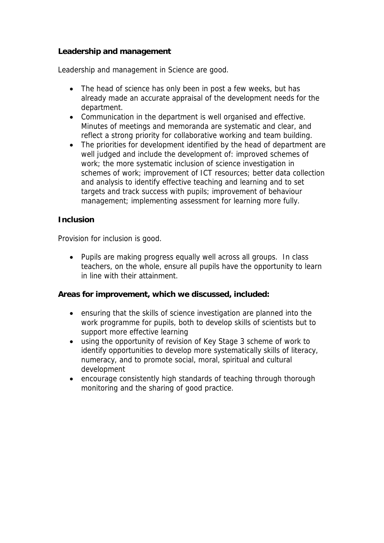### **Leadership and management**

Leadership and management in Science are good.

- The head of science has only been in post a few weeks, but has already made an accurate appraisal of the development needs for the department.
- Communication in the department is well organised and effective. Minutes of meetings and memoranda are systematic and clear, and reflect a strong priority for collaborative working and team building.
- The priorities for development identified by the head of department are well judged and include the development of: improved schemes of work; the more systematic inclusion of science investigation in schemes of work; improvement of ICT resources; better data collection and analysis to identify effective teaching and learning and to set targets and track success with pupils; improvement of behaviour management; implementing assessment for learning more fully.

### **Inclusion**

Provision for inclusion is good.

 Pupils are making progress equally well across all groups. In class teachers, on the whole, ensure all pupils have the opportunity to learn in line with their attainment.

**Areas for improvement, which we discussed, included:** 

- ensuring that the skills of science investigation are planned into the work programme for pupils, both to develop skills of scientists but to support more effective learning
- using the opportunity of revision of Key Stage 3 scheme of work to identify opportunities to develop more systematically skills of literacy, numeracy, and to promote social, moral, spiritual and cultural development
- encourage consistently high standards of teaching through thorough monitoring and the sharing of good practice.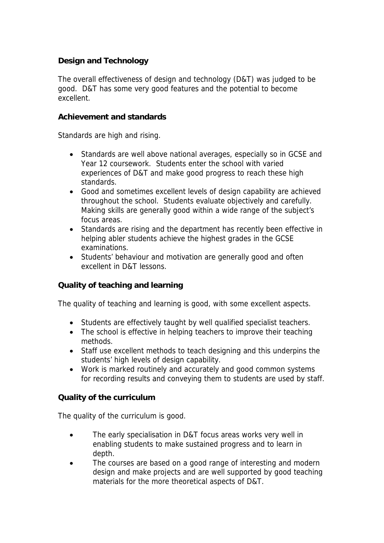# **Design and Technology**

The overall effectiveness of design and technology (D&T) was judged to be good. D&T has some very good features and the potential to become excellent.

#### **Achievement and standards**

Standards are high and rising.

- Standards are well above national averages, especially so in GCSE and Year 12 coursework. Students enter the school with varied experiences of D&T and make good progress to reach these high standards.
- Good and sometimes excellent levels of design capability are achieved throughout the school. Students evaluate objectively and carefully. Making skills are generally good within a wide range of the subject's focus areas.
- Standards are rising and the department has recently been effective in helping abler students achieve the highest grades in the GCSE examinations.
- Students' behaviour and motivation are generally good and often excellent in D&T lessons.

### **Quality of teaching and learning**

The quality of teaching and learning is good, with some excellent aspects.

- Students are effectively taught by well qualified specialist teachers.
- The school is effective in helping teachers to improve their teaching methods.
- Staff use excellent methods to teach designing and this underpins the students' high levels of design capability.
- Work is marked routinely and accurately and good common systems for recording results and conveying them to students are used by staff.

### **Quality of the curriculum**

The quality of the curriculum is good.

- The early specialisation in D&T focus areas works very well in enabling students to make sustained progress and to learn in depth.
- The courses are based on a good range of interesting and modern design and make projects and are well supported by good teaching materials for the more theoretical aspects of D&T.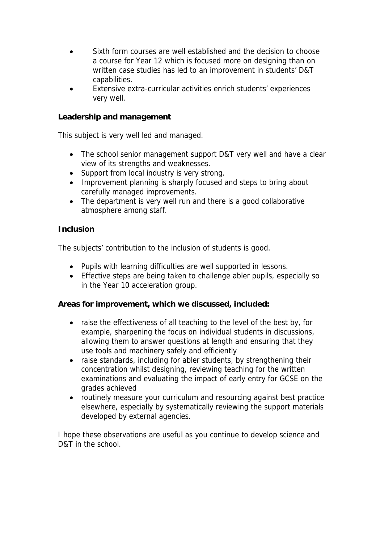- Sixth form courses are well established and the decision to choose a course for Year 12 which is focused more on designing than on written case studies has led to an improvement in students' D&T capabilities.
- Extensive extra-curricular activities enrich students' experiences very well.

# **Leadership and management**

This subject is very well led and managed.

- The school senior management support D&T very well and have a clear view of its strengths and weaknesses.
- Support from local industry is very strong.
- Improvement planning is sharply focused and steps to bring about carefully managed improvements.
- The department is very well run and there is a good collaborative atmosphere among staff.

### **Inclusion**

The subjects' contribution to the inclusion of students is good.

- Pupils with learning difficulties are well supported in lessons.
- Effective steps are being taken to challenge abler pupils, especially so in the Year 10 acceleration group.

**Areas for improvement, which we discussed, included:**

- raise the effectiveness of all teaching to the level of the best by, for example, sharpening the focus on individual students in discussions, allowing them to answer questions at length and ensuring that they use tools and machinery safely and efficiently
- raise standards, including for abler students, by strengthening their concentration whilst designing, reviewing teaching for the written examinations and evaluating the impact of early entry for GCSE on the grades achieved
- routinely measure your curriculum and resourcing against best practice elsewhere, especially by systematically reviewing the support materials developed by external agencies.

I hope these observations are useful as you continue to develop science and D&T in the school.